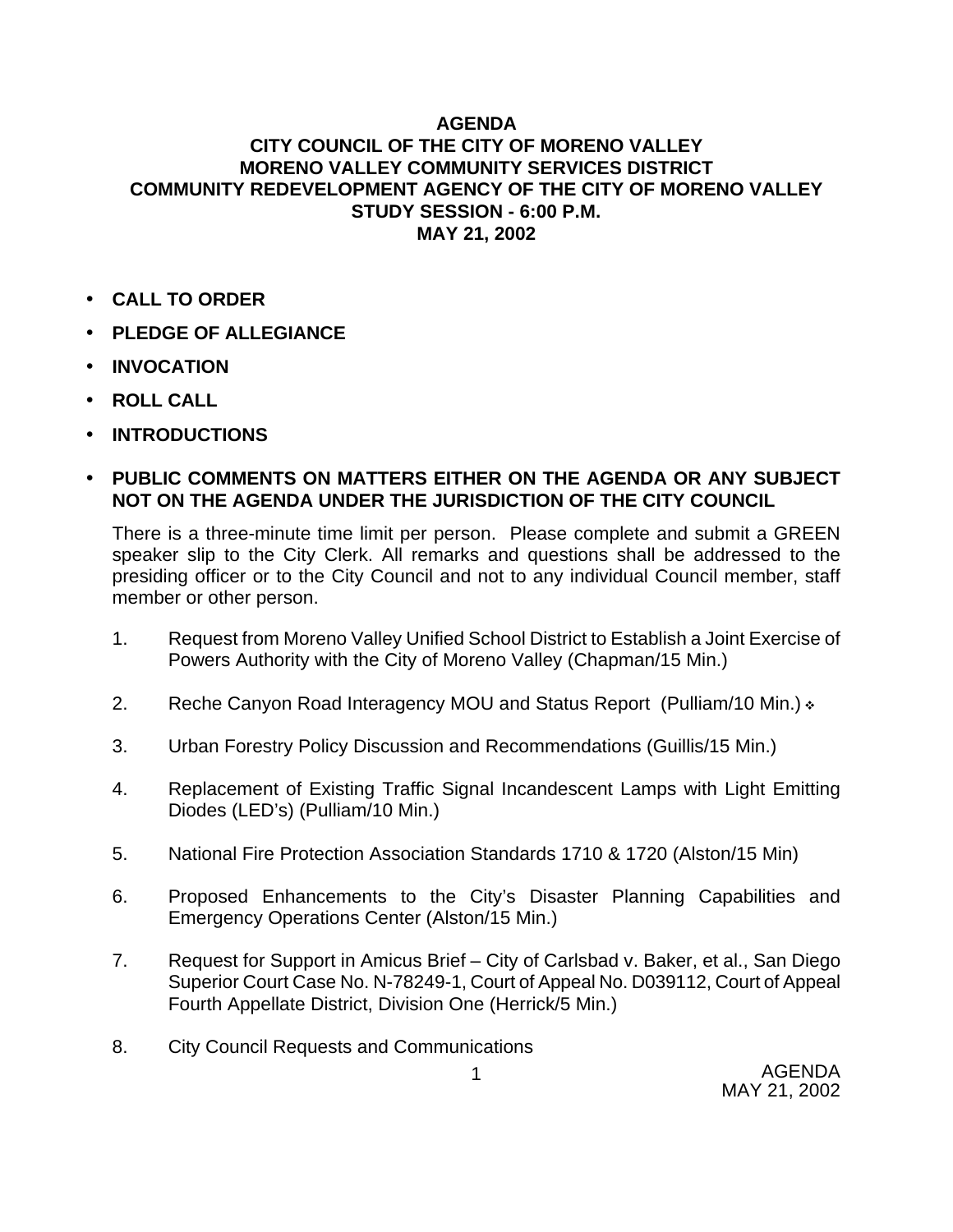### **AGENDA**

## **CITY COUNCIL OF THE CITY OF MORENO VALLEY MORENO VALLEY COMMUNITY SERVICES DISTRICT COMMUNITY REDEVELOPMENT AGENCY OF THE CITY OF MORENO VALLEY STUDY SESSION - 6:00 P.M. MAY 21, 2002**

- **CALL TO ORDER**
- **PLEDGE OF ALLEGIANCE**
- **INVOCATION**
- **ROLL CALL**
- **INTRODUCTIONS**

### • **PUBLIC COMMENTS ON MATTERS EITHER ON THE AGENDA OR ANY SUBJECT NOT ON THE AGENDA UNDER THE JURISDICTION OF THE CITY COUNCIL**

There is a three-minute time limit per person. Please complete and submit a GREEN speaker slip to the City Clerk. All remarks and questions shall be addressed to the presiding officer or to the City Council and not to any individual Council member, staff member or other person.

- 1. Request from Moreno Valley Unified School District to Establish a Joint Exercise of Powers Authority with the City of Moreno Valley (Chapman/15 Min.)
- 2. Reche Canyon Road Interagency MOU and Status Report (Pulliam/10 Min.)  $\cdot$
- 3. Urban Forestry Policy Discussion and Recommendations (Guillis/15 Min.)
- 4. Replacement of Existing Traffic Signal Incandescent Lamps with Light Emitting Diodes (LED's) (Pulliam/10 Min.)
- 5. National Fire Protection Association Standards 1710 & 1720 (Alston/15 Min)
- 6. Proposed Enhancements to the City's Disaster Planning Capabilities and Emergency Operations Center (Alston/15 Min.)
- 7. Request for Support in Amicus Brief City of Carlsbad v. Baker, et al., San Diego Superior Court Case No. N-78249-1, Court of Appeal No. D039112, Court of Appeal Fourth Appellate District, Division One (Herrick/5 Min.)
- 8. City Council Requests and Communications